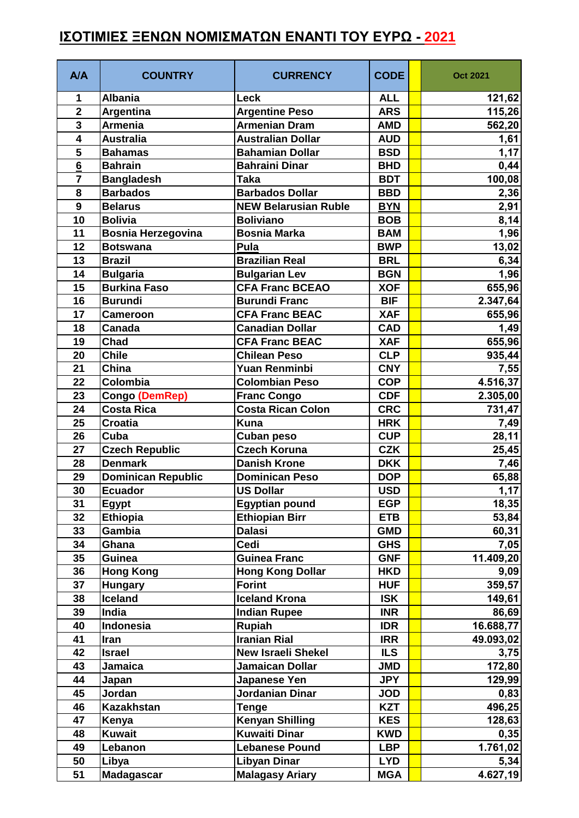## **ΙΣΟΤΙΜΙΕΣ ΞΕΝΩΝ ΝΟΜΙΣΜΑΤΩΝ ΕΝΑΝΤΙ ΤΟΥ ΕΥΡΩ - 2021**

| <b>A/A</b>              | <b>COUNTRY</b>            | <b>CURRENCY</b>             | <b>CODE</b> | <b>Oct 2021</b> |
|-------------------------|---------------------------|-----------------------------|-------------|-----------------|
| 1                       | <b>Albania</b>            | Leck                        | <b>ALL</b>  | 121,62          |
| $\overline{\mathbf{2}}$ | Argentina                 | <b>Argentine Peso</b>       | <b>ARS</b>  | 115,26          |
| $\overline{\mathbf{3}}$ | <b>Armenia</b>            | <b>Armenian Dram</b>        | <b>AMD</b>  | 562,20          |
| 4                       | <b>Australia</b>          | <b>Australian Dollar</b>    | <b>AUD</b>  | 1,61            |
| 5                       | <b>Bahamas</b>            | <b>Bahamian Dollar</b>      | <b>BSD</b>  | 1,17            |
| $6\phantom{a}$          | <b>Bahrain</b>            | <b>Bahraini Dinar</b>       | <b>BHD</b>  | 0,44            |
| $\overline{7}$          | <b>Bangladesh</b>         | <b>Taka</b>                 | <b>BDT</b>  | 100,08          |
| 8                       | <b>Barbados</b>           | <b>Barbados Dollar</b>      | <b>BBD</b>  | 2,36            |
| 9                       | <b>Belarus</b>            | <b>NEW Belarusian Ruble</b> | <b>BYN</b>  | 2,91            |
| 10                      | <b>Bolivia</b>            | <b>Boliviano</b>            | <b>BOB</b>  | 8,14            |
| 11                      | <b>Bosnia Herzegovina</b> | <b>Bosnia Marka</b>         | <b>BAM</b>  | 1,96            |
| 12                      | <b>Botswana</b>           | Pula                        | <b>BWP</b>  | 13,02           |
| 13                      | <b>Brazil</b>             | <b>Brazilian Real</b>       | <b>BRL</b>  | 6,34            |
| 14                      | <b>Bulgaria</b>           | <b>Bulgarian Lev</b>        | <b>BGN</b>  | 1,96            |
| 15                      | <b>Burkina Faso</b>       | <b>CFA Franc BCEAO</b>      | <b>XOF</b>  | 655,96          |
| 16                      | <b>Burundi</b>            | <b>Burundi Franc</b>        | <b>BIF</b>  | 2.347,64        |
| 17                      | <b>Cameroon</b>           | <b>CFA Franc BEAC</b>       | <b>XAF</b>  | 655,96          |
| 18                      | Canada                    | <b>Canadian Dollar</b>      | <b>CAD</b>  | 1,49            |
| 19                      | Chad                      | <b>CFA Franc BEAC</b>       | <b>XAF</b>  | 655,96          |
| 20                      | <b>Chile</b>              | <b>Chilean Peso</b>         | <b>CLP</b>  | 935,44          |
| 21                      | China                     | Yuan Renminbi               | <b>CNY</b>  | 7,55            |
| 22                      | Colombia                  | <b>Colombian Peso</b>       | <b>COP</b>  | 4.516,37        |
| 23                      | Congo (DemRep)            | <b>Franc Congo</b>          | <b>CDF</b>  | 2.305,00        |
| 24                      | <b>Costa Rica</b>         | <b>Costa Rican Colon</b>    | <b>CRC</b>  | 731,47          |
| 25                      | <b>Croatia</b>            | <b>Kuna</b>                 | <b>HRK</b>  | 7,49            |
| 26                      | Cuba                      | Cuban peso                  | <b>CUP</b>  | 28,11           |
| 27                      | <b>Czech Republic</b>     | <b>Czech Koruna</b>         | <b>CZK</b>  | 25,45           |
| 28                      | <b>Denmark</b>            | <b>Danish Krone</b>         | <b>DKK</b>  | 7,46            |
| 29                      | <b>Dominican Republic</b> | <b>Dominican Peso</b>       | <b>DOP</b>  | 65,88           |
| 30                      | <b>Ecuador</b>            | <b>US Dollar</b>            | <b>USD</b>  | 1,17            |
| 31                      | <b>Egypt</b>              | <b>Egyptian pound</b>       | <b>EGP</b>  | 18,35           |
| 32                      | <b>Ethiopia</b>           | <b>Ethiopian Birr</b>       | <b>ETB</b>  | 53,84           |
| 33                      | Gambia                    | <b>Dalasi</b>               | <b>GMD</b>  | 60,31           |
| 34                      | Ghana                     | Cedi                        | <b>GHS</b>  | 7,05            |
| 35                      | Guinea                    | <b>Guinea Franc</b>         | <b>GNF</b>  | 11.409,20       |
| 36                      | <b>Hong Kong</b>          | <b>Hong Kong Dollar</b>     | <b>HKD</b>  | 9,09            |
| 37                      | <b>Hungary</b>            | <b>Forint</b>               | <b>HUF</b>  | 359,57          |
| 38                      | Iceland                   | <b>Iceland Krona</b>        | <b>ISK</b>  | 149,61          |
| 39                      | India                     | <b>Indian Rupee</b>         | <b>INR</b>  | 86,69           |
| 40                      | Indonesia                 | Rupiah                      | <b>IDR</b>  | 16.688,77       |
| 41                      | Iran                      | <b>Iranian Rial</b>         | <b>IRR</b>  | 49.093,02       |
| 42                      | <b>Israel</b>             | <b>New Israeli Shekel</b>   | <b>ILS</b>  | 3,75            |
| 43                      | Jamaica                   | Jamaican Dollar             | <b>JMD</b>  | 172,80          |
| 44                      | Japan                     | Japanese Yen                | <b>JPY</b>  | 129,99          |
| 45                      | Jordan                    | Jordanian Dinar             | <b>JOD</b>  | 0,83            |
| 46                      | <b>Kazakhstan</b>         | <b>Tenge</b>                | <b>KZT</b>  | 496,25          |
| 47                      | Kenya                     | <b>Kenyan Shilling</b>      | <b>KES</b>  | 128,63          |
| 48                      | <b>Kuwait</b>             | <b>Kuwaiti Dinar</b>        | <b>KWD</b>  | 0,35            |
| 49                      | Lebanon                   | <b>Lebanese Pound</b>       | <b>LBP</b>  | 1.761,02        |
| 50                      | Libya                     | <b>Libyan Dinar</b>         | <b>LYD</b>  | 5,34            |
| 51                      | <b>Madagascar</b>         | <b>Malagasy Ariary</b>      | <b>MGA</b>  | 4.627,19        |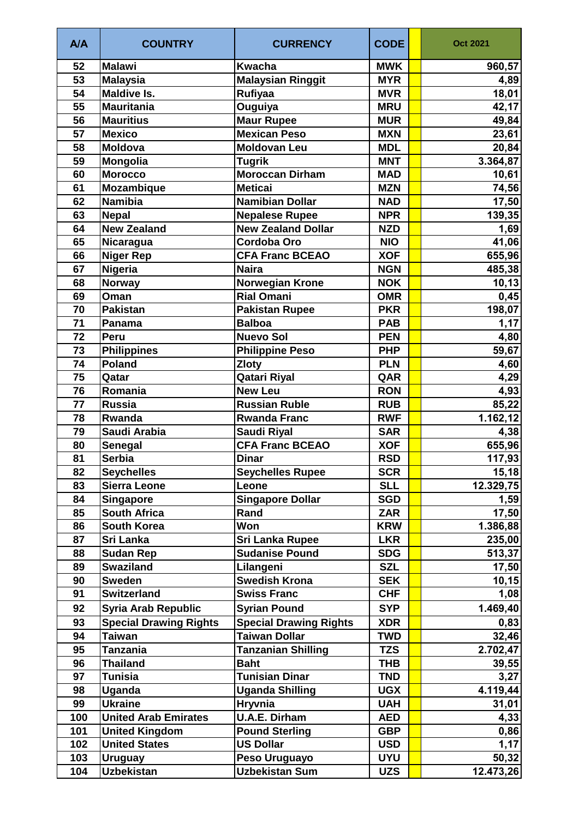| A/A | <b>COUNTRY</b>                | <b>CURRENCY</b>               | <b>CODE</b> | <b>Oct 2021</b>    |
|-----|-------------------------------|-------------------------------|-------------|--------------------|
| 52  | <b>Malawi</b>                 | <b>Kwacha</b>                 | <b>MWK</b>  | 960,57             |
| 53  | <b>Malaysia</b>               | <b>Malaysian Ringgit</b>      | <b>MYR</b>  | 4,89               |
| 54  | <b>Maldive Is.</b>            | Rufiyaa                       | <b>MVR</b>  | 18,01              |
| 55  | <b>Mauritania</b>             | Ouguiya                       | <b>MRU</b>  | 42,17              |
| 56  | <b>Mauritius</b>              | <b>Maur Rupee</b>             | <b>MUR</b>  | 49,84              |
| 57  | <b>Mexico</b>                 | <b>Mexican Peso</b>           | <b>MXN</b>  | 23,61              |
| 58  | <b>Moldova</b>                | <b>Moldovan Leu</b>           | <b>MDL</b>  | 20,84              |
| 59  | Mongolia                      | <b>Tugrik</b>                 | <b>MNT</b>  | 3.364,87           |
| 60  | <b>Morocco</b>                | <b>Moroccan Dirham</b>        | <b>MAD</b>  | 10,61              |
| 61  | <b>Mozambique</b>             | <b>Meticai</b>                | <b>MZN</b>  | 74,56              |
| 62  | <b>Namibia</b>                | <b>Namibian Dollar</b>        | <b>NAD</b>  | 17,50              |
| 63  | <b>Nepal</b>                  | <b>Nepalese Rupee</b>         | <b>NPR</b>  | 139,35             |
| 64  | <b>New Zealand</b>            | <b>New Zealand Dollar</b>     | <b>NZD</b>  | 1,69               |
| 65  | Nicaragua                     | Cordoba Oro                   | <b>NIO</b>  | 41,06              |
| 66  | <b>Niger Rep</b>              | <b>CFA Franc BCEAO</b>        | <b>XOF</b>  | 655,96             |
| 67  | Nigeria                       | <b>Naira</b>                  | <b>NGN</b>  | 485,38             |
| 68  | <b>Norway</b>                 | <b>Norwegian Krone</b>        | <b>NOK</b>  | $\overline{10,13}$ |
| 69  | Oman                          | <b>Rial Omani</b>             | <b>OMR</b>  | 0,45               |
| 70  | <b>Pakistan</b>               | <b>Pakistan Rupee</b>         | <b>PKR</b>  | 198,07             |
| 71  | Panama                        | <b>Balboa</b>                 | <b>PAB</b>  | 1,17               |
| 72  | Peru                          | <b>Nuevo Sol</b>              | <b>PEN</b>  | 4,80               |
| 73  | <b>Philippines</b>            | <b>Philippine Peso</b>        | <b>PHP</b>  | 59,67              |
| 74  | <b>Poland</b>                 | <b>Zloty</b>                  | <b>PLN</b>  | 4,60               |
| 75  | Qatar                         | <b>Qatari Riyal</b>           | QAR         | 4,29               |
| 76  | Romania                       | <b>New Leu</b>                | <b>RON</b>  | 4,93               |
| 77  | <b>Russia</b>                 | <b>Russian Ruble</b>          | <b>RUB</b>  | 85,22              |
| 78  | Rwanda                        | <b>Rwanda Franc</b>           | <b>RWF</b>  | 1.162, 12          |
| 79  | Saudi Arabia                  | <b>Saudi Riyal</b>            | <b>SAR</b>  | 4,38               |
| 80  | Senegal                       | <b>CFA Franc BCEAO</b>        | <b>XOF</b>  | 655,96             |
| 81  | <b>Serbia</b>                 | <b>Dinar</b>                  | <b>RSD</b>  | 117,93             |
| 82  | <b>Seychelles</b>             | <b>Seychelles Rupee</b>       | <b>SCR</b>  | 15,18              |
| 83  | <b>Sierra Leone</b>           | Leone                         | <b>SLL</b>  | 12.329,75          |
| 84  | <b>Singapore</b>              | <b>Singapore Dollar</b>       | <b>SGD</b>  | 1,59               |
| 85  | <b>South Africa</b>           | Rand                          | <b>ZAR</b>  | 17,50              |
| 86  | South Korea                   | Won                           | <b>KRW</b>  | 1.386,88           |
| 87  | Sri Lanka                     | <b>Sri Lanka Rupee</b>        | <b>LKR</b>  | 235,00             |
| 88  | <b>Sudan Rep</b>              | <b>Sudanise Pound</b>         | <b>SDG</b>  | 513,37             |
| 89  | <b>Swaziland</b>              | Lilangeni                     | <b>SZL</b>  | 17,50              |
| 90  | <b>Sweden</b>                 | <b>Swedish Krona</b>          | <b>SEK</b>  | 10, 15             |
| 91  | <b>Switzerland</b>            | <b>Swiss Franc</b>            | <b>CHF</b>  | 1,08               |
| 92  | <b>Syria Arab Republic</b>    | <b>Syrian Pound</b>           | <b>SYP</b>  | 1.469,40           |
| 93  | <b>Special Drawing Rights</b> | <b>Special Drawing Rights</b> | <b>XDR</b>  | 0,83               |
| 94  | <b>Taiwan</b>                 | <b>Taiwan Dollar</b>          | <b>TWD</b>  | 32,46              |
| 95  | <b>Tanzania</b>               | <b>Tanzanian Shilling</b>     | <b>TZS</b>  | 2.702,47           |
| 96  | <b>Thailand</b>               | <b>Baht</b>                   | THB         | 39,55              |
| 97  | <b>Tunisia</b>                | <b>Tunisian Dinar</b>         | <b>TND</b>  | 3,27               |
| 98  | Uganda                        | <b>Uganda Shilling</b>        | <b>UGX</b>  | 4.119,44           |
| 99  | <b>Ukraine</b>                | <b>Hryvnia</b>                | <b>UAH</b>  | 31,01              |
| 100 | <b>United Arab Emirates</b>   | <b>U.A.E. Dirham</b>          | <b>AED</b>  | 4,33               |
| 101 | <b>United Kingdom</b>         | <b>Pound Sterling</b>         | <b>GBP</b>  | 0,86               |
| 102 | <b>United States</b>          | <b>US Dollar</b>              | <b>USD</b>  | 1,17               |
| 103 | <b>Uruguay</b>                | Peso Uruguayo                 | <b>UYU</b>  | 50,32              |
| 104 | <b>Uzbekistan</b>             | <b>Uzbekistan Sum</b>         | <b>UZS</b>  | 12.473,26          |